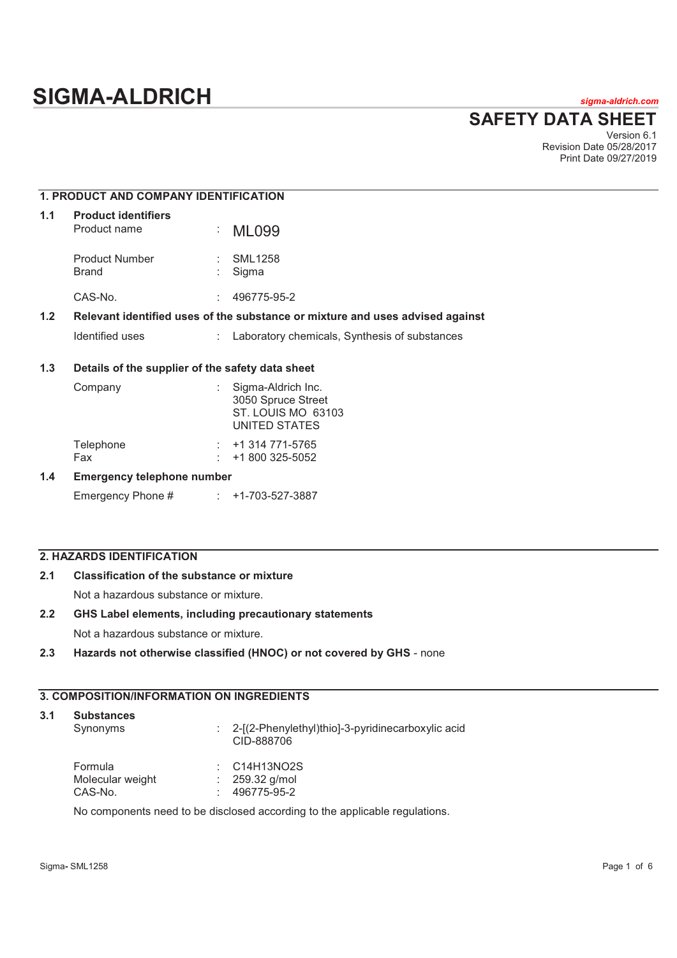# **SIGMA-ALDRICH** *sigma-aldrich.com*

**SAFETY DATA SHEET**

Version 6.1 Revision Date 05/28/2017 Print Date 09/27/2019

## **1. PRODUCT AND COMPANY IDENTIFICATION 1.1 Product identifiers**  Product name : ML099 Product Number : SML1258<br>Brand : Sigma : Sigma CAS-No. : 496775-95-2 **1.2 Relevant identified uses of the substance or mixture and uses advised against**  Identified uses : Laboratory chemicals, Synthesis of substances

## **1.3 Details of the supplier of the safety data sheet**

| Company                    | Sigma-Aldrich Inc.<br>3050 Spruce Street<br>ST. LOUIS MO 63103<br>UNITED STATES |
|----------------------------|---------------------------------------------------------------------------------|
| Telephone                  | $: +1314771 - 5765$                                                             |
| Fax                        | $: 1800325-5052$                                                                |
| Emarganev talanhana numhar |                                                                                 |

#### **1.4 Emergency telephone number**

Emergency Phone # : +1-703-527-3887

## **2. HAZARDS IDENTIFICATION**

## **2.1 Classification of the substance or mixture**

Not a hazardous substance or mixture.

## **2.2 GHS Label elements, including precautionary statements**

Not a hazardous substance or mixture.

## **2.3 Hazards not otherwise classified (HNOC) or not covered by GHS** - none

## **3. COMPOSITION/INFORMATION ON INGREDIENTS**

## **3.1 Substances**

Synonyms : 2-[(2-Phenylethyl)thio]-3-pyridinecarboxylic acid CID-888706

| Formula          | $\therefore$ C14H13NO2S |
|------------------|-------------------------|
| Molecular weight | $: 259.32$ g/mol        |
| CAS-No.          | 496775-95-2             |

No components need to be disclosed according to the applicable regulations.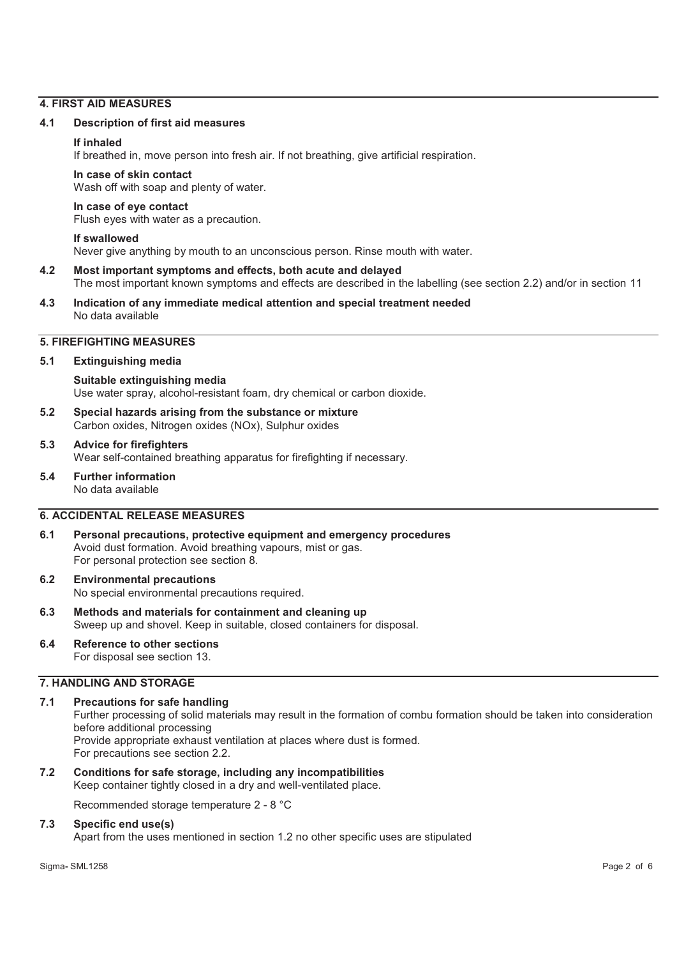#### **4. FIRST AID MEASURES**

#### **4.1 Description of first aid measures**

#### **If inhaled**

If breathed in, move person into fresh air. If not breathing, give artificial respiration.

#### **In case of skin contact**

Wash off with soap and plenty of water.

#### **In case of eye contact**

Flush eyes with water as a precaution.

#### **If swallowed**

Never give anything by mouth to an unconscious person. Rinse mouth with water.

#### **4.2 Most important symptoms and effects, both acute and delayed**

The most important known symptoms and effects are described in the labelling (see section 2.2) and/or in section 11

**4.3 Indication of any immediate medical attention and special treatment needed**  No data available

## **5. FIREFIGHTING MEASURES**

#### **5.1 Extinguishing media**

## **Suitable extinguishing media**  Use water spray, alcohol-resistant foam, dry chemical or carbon dioxide.

**5.2 Special hazards arising from the substance or mixture**  Carbon oxides, Nitrogen oxides (NOx), Sulphur oxides

## **5.3 Advice for firefighters**

Wear self-contained breathing apparatus for firefighting if necessary.

**5.4 Further information**  No data available

## **6. ACCIDENTAL RELEASE MEASURES**

- **6.1 Personal precautions, protective equipment and emergency procedures**  Avoid dust formation. Avoid breathing vapours, mist or gas. For personal protection see section 8.
- **6.2 Environmental precautions**  No special environmental precautions required.
- **6.3 Methods and materials for containment and cleaning up**  Sweep up and shovel. Keep in suitable, closed containers for disposal.
- **6.4 Reference to other sections**  For disposal see section 13.

## **7. HANDLING AND STORAGE**

## **7.1 Precautions for safe handling**  Further processing of solid materials may result in the formation of combu formation should be taken into consideration before additional processing Provide appropriate exhaust ventilation at places where dust is formed.

For precautions see section 2.2.

**7.2 Conditions for safe storage, including any incompatibilities**  Keep container tightly closed in a dry and well-ventilated place.

Recommended storage temperature 2 - 8 °C

## **7.3 Specific end use(s)**

Apart from the uses mentioned in section 1.2 no other specific uses are stipulated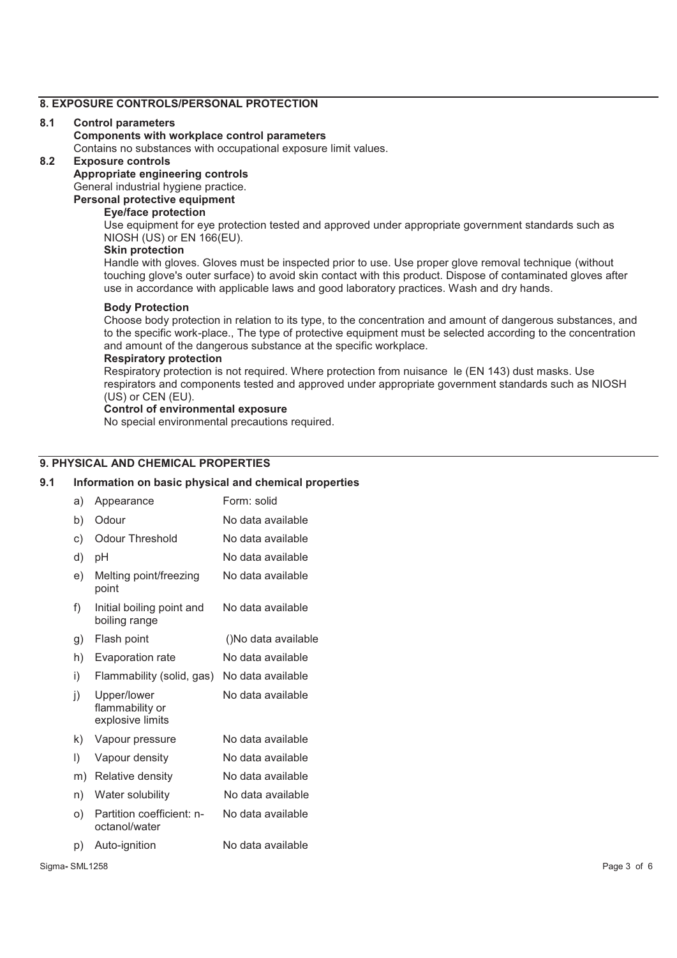## **8. EXPOSURE CONTROLS/PERSONAL PROTECTION**

#### **8.1 Control parameters**

#### **Components with workplace control parameters**

Contains no substances with occupational exposure limit values.

## **8.2 Exposure controls**

**Appropriate engineering controls** 

General industrial hygiene practice.

## **Personal protective equipment**

## **Eye/face protection**

Use equipment for eye protection tested and approved under appropriate government standards such as NIOSH (US) or EN 166(EU).

## **Skin protection**

Handle with gloves. Gloves must be inspected prior to use. Use proper glove removal technique (without touching glove's outer surface) to avoid skin contact with this product. Dispose of contaminated gloves after use in accordance with applicable laws and good laboratory practices. Wash and dry hands.

#### **Body Protection**

Choose body protection in relation to its type, to the concentration and amount of dangerous substances, and to the specific work-place., The type of protective equipment must be selected according to the concentration and amount of the dangerous substance at the specific workplace.

## **Respiratory protection**

Respiratory protection is not required. Where protection from nuisance le (EN 143) dust masks. Use respirators and components tested and approved under appropriate government standards such as NIOSH (US) or CEN (EU).

#### **Control of environmental exposure**

No special environmental precautions required.

## **9. PHYSICAL AND CHEMICAL PROPERTIES**

## **9.1 Information on basic physical and chemical properties**

| a) | Appearance                                         | Form: solid         |
|----|----------------------------------------------------|---------------------|
| b) | Odour                                              | No data available   |
| c) | Odour Threshold                                    | No data available   |
| d) | pH                                                 | No data available   |
| e) | Melting point/freezing<br>point                    | No data available   |
| f) | Initial boiling point and<br>boiling range         | No data available   |
| g) | Flash point                                        | ()No data available |
| h) | Evaporation rate                                   | No data available   |
| i) | Flammability (solid, gas)                          | No data available   |
| j) | Upper/lower<br>flammability or<br>explosive limits | No data available   |
| k) | Vapour pressure                                    | No data available   |
| I) | Vapour density                                     | No data available   |
| m) | Relative density                                   | No data available   |
| n) | Water solubility                                   | No data available   |
| o) | Partition coefficient: n-<br>octanol/water         | No data available   |
| p) | Auto-ignition                                      | No data available   |
|    |                                                    |                     |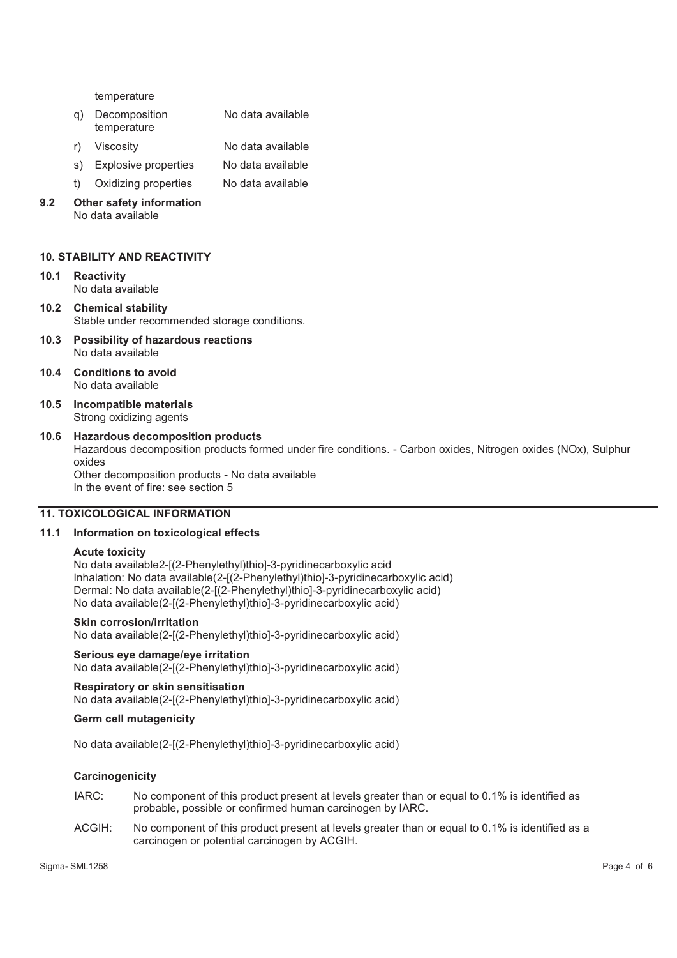temperature

- q) Decomposition temperature No data available
- r) Viscosity No data available
- s) Explosive properties No data available
- t) Oxidizing properties No data available

#### **9.2 Other safety information**  No data available

## **10. STABILITY AND REACTIVITY**

- **10.1 Reactivity**  No data available
- **10.2 Chemical stability**  Stable under recommended storage conditions.
- **10.3 Possibility of hazardous reactions**  No data available
- **10.4 Conditions to avoid**  No data available
- **10.5 Incompatible materials**  Strong oxidizing agents

#### **10.6 Hazardous decomposition products**  Hazardous decomposition products formed under fire conditions. - Carbon oxides, Nitrogen oxides (NOx), Sulphur oxides Other decomposition products - No data available In the event of fire: see section 5

#### **11. TOXICOLOGICAL INFORMATION**

#### **11.1 Information on toxicological effects**

#### **Acute toxicity**

No data available2-[(2-Phenylethyl)thio]-3-pyridinecarboxylic acid Inhalation: No data available(2-[(2-Phenylethyl)thio]-3-pyridinecarboxylic acid) Dermal: No data available(2-[(2-Phenylethyl)thio]-3-pyridinecarboxylic acid) No data available(2-[(2-Phenylethyl)thio]-3-pyridinecarboxylic acid)

#### **Skin corrosion/irritation**

No data available(2-[(2-Phenylethyl)thio]-3-pyridinecarboxylic acid)

## **Serious eye damage/eye irritation**

No data available(2-[(2-Phenylethyl)thio]-3-pyridinecarboxylic acid)

#### **Respiratory or skin sensitisation**

No data available(2-[(2-Phenylethyl)thio]-3-pyridinecarboxylic acid)

## **Germ cell mutagenicity**

No data available(2-[(2-Phenylethyl)thio]-3-pyridinecarboxylic acid)

## **Carcinogenicity**

- IARC: No component of this product present at levels greater than or equal to 0.1% is identified as probable, possible or confirmed human carcinogen by IARC.
- ACGIH: No component of this product present at levels greater than or equal to 0.1% is identified as a carcinogen or potential carcinogen by ACGIH.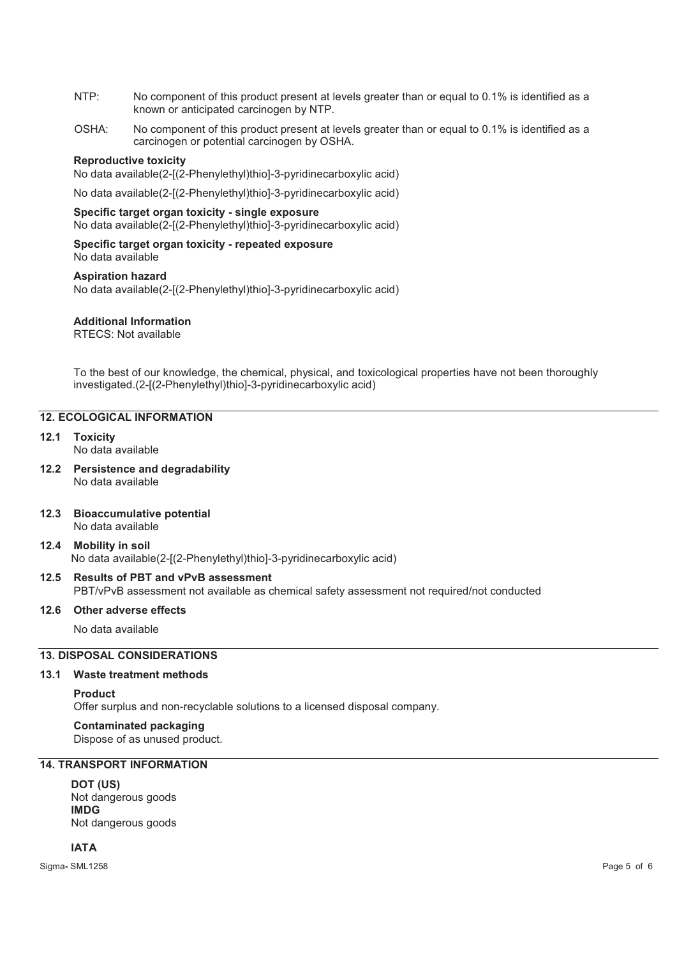- NTP: No component of this product present at levels greater than or equal to 0.1% is identified as a known or anticipated carcinogen by NTP.
- OSHA: No component of this product present at levels greater than or equal to 0.1% is identified as a carcinogen or potential carcinogen by OSHA.

#### **Reproductive toxicity**

No data available(2-[(2-Phenylethyl)thio]-3-pyridinecarboxylic acid)

No data available(2-[(2-Phenylethyl)thio]-3-pyridinecarboxylic acid)

## **Specific target organ toxicity - single exposure**

No data available(2-[(2-Phenylethyl)thio]-3-pyridinecarboxylic acid)

#### **Specific target organ toxicity - repeated exposure**  No data available

**Aspiration hazard** 

No data available(2-[(2-Phenylethyl)thio]-3-pyridinecarboxylic acid)

## **Additional Information**

RTECS: Not available

To the best of our knowledge, the chemical, physical, and toxicological properties have not been thoroughly investigated.(2-[(2-Phenylethyl)thio]-3-pyridinecarboxylic acid)

## **12. ECOLOGICAL INFORMATION**

- **12.1 Toxicity**  No data available
- **12.2 Persistence and degradability**  No data available

## **12.3 Bioaccumulative potential**

No data available

## **12.4 Mobility in soil**

No data available(2-[(2-Phenylethyl)thio]-3-pyridinecarboxylic acid)

#### **12.5 Results of PBT and vPvB assessment**  PBT/vPvB assessment not available as chemical safety assessment not required/not conducted

#### **12.6 Other adverse effects**

No data available

## **13. DISPOSAL CONSIDERATIONS**

#### **13.1 Waste treatment methods**

#### **Product**

Offer surplus and non-recyclable solutions to a licensed disposal company.

#### **Contaminated packaging**

Dispose of as unused product.

## **14. TRANSPORT INFORMATION**

**DOT (US)** Not dangerous goods **IMDG** Not dangerous goods

**IATA**

Sigma**-** SML1258 Page 5 of 6